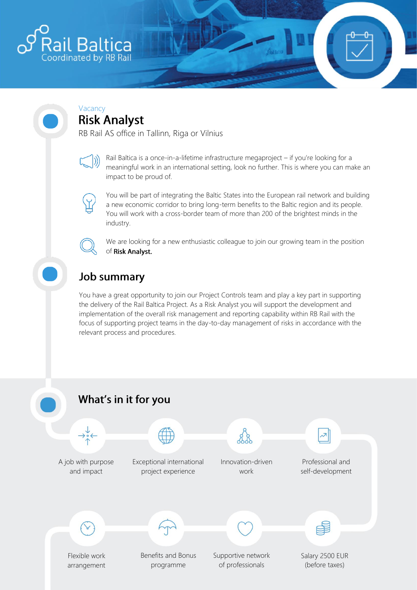

#### Vacancy **Risk Analyst**

RB Rail AS office in Tallinn, Riga or Vilnius



Rail Baltica is a once-in-a-lifetime infrastructure megaproject – if you're looking for a meaningful work in an international setting, look no further. This is where you can make an impact to be proud of.



You will be part of integrating the Baltic States into the European rail network and building a new economic corridor to bring long-term benefits to the Baltic region and its people. You will work with a cross-border team of more than 200 of the brightest minds in the industry.



We are looking for a new enthusiastic colleague to join our growing team in the position of Risk Analyst.

# **Job summary**

You have a great opportunity to join our Project Controls team and play a key part in supporting the delivery of the Rail Baltica Project. As a Risk Analyst you will support the development and implementation of the overall risk management and reporting capability within RB Rail with the focus of supporting project teams in the day-to-day management of risks in accordance with the relevant process and procedures.